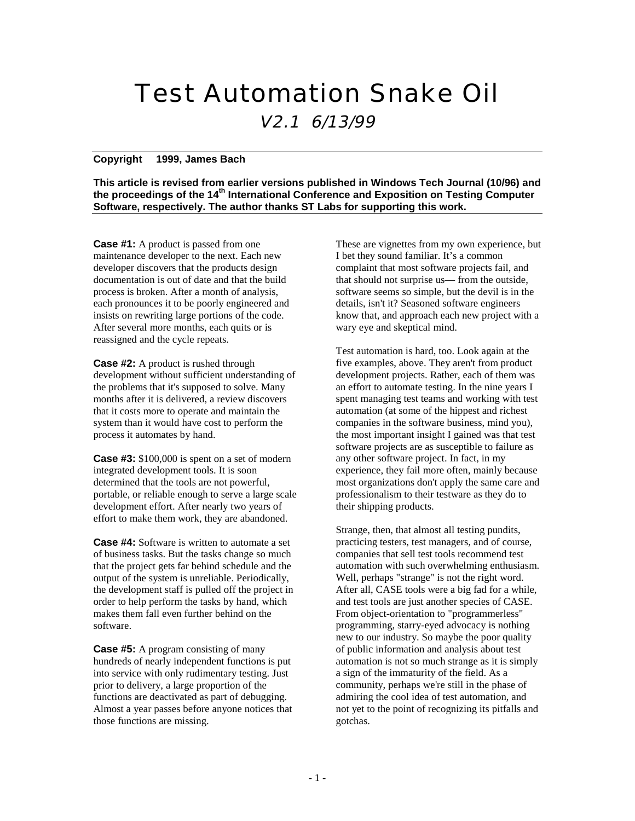# Test Automation Snake Oil V2.1 6/13/99

#### **Copyright 1999, James Bach**

**This article is revised from earlier versions published in Windows Tech Journal (10/96) and the proceedings of the 14th International Conference and Exposition on Testing Computer Software, respectively. The author thanks ST Labs for supporting this work.**

**Case #1:** A product is passed from one maintenance developer to the next. Each new developer discovers that the products design documentation is out of date and that the build process is broken. After a month of analysis, each pronounces it to be poorly engineered and insists on rewriting large portions of the code. After several more months, each quits or is reassigned and the cycle repeats.

**Case #2:** A product is rushed through development without sufficient understanding of the problems that it's supposed to solve. Many months after it is delivered, a review discovers that it costs more to operate and maintain the system than it would have cost to perform the process it automates by hand.

**Case #3:** \$100,000 is spent on a set of modern integrated development tools. It is soon determined that the tools are not powerful, portable, or reliable enough to serve a large scale development effort. After nearly two years of effort to make them work, they are abandoned.

**Case #4:** Software is written to automate a set of business tasks. But the tasks change so much that the project gets far behind schedule and the output of the system is unreliable. Periodically, the development staff is pulled off the project in order to help perform the tasks by hand, which makes them fall even further behind on the software.

**Case #5:** A program consisting of many hundreds of nearly independent functions is put into service with only rudimentary testing. Just prior to delivery, a large proportion of the functions are deactivated as part of debugging. Almost a year passes before anyone notices that those functions are missing.

These are vignettes from my own experience, but I bet they sound familiar. It's a common complaint that most software projects fail, and that should not surprise us— from the outside, software seems so simple, but the devil is in the details, isn't it? Seasoned software engineers know that, and approach each new project with a wary eye and skeptical mind.

Test automation is hard, too. Look again at the five examples, above. They aren't from product development projects. Rather, each of them was an effort to automate testing. In the nine years I spent managing test teams and working with test automation (at some of the hippest and richest companies in the software business, mind you), the most important insight I gained was that test software projects are as susceptible to failure as any other software project. In fact, in my experience, they fail more often, mainly because most organizations don't apply the same care and professionalism to their testware as they do to their shipping products.

Strange, then, that almost all testing pundits, practicing testers, test managers, and of course, companies that sell test tools recommend test automation with such overwhelming enthusiasm. Well, perhaps "strange" is not the right word. After all, CASE tools were a big fad for a while, and test tools are just another species of CASE. From object-orientation to "programmerless" programming, starry-eyed advocacy is nothing new to our industry. So maybe the poor quality of public information and analysis about test automation is not so much strange as it is simply a sign of the immaturity of the field. As a community, perhaps we're still in the phase of admiring the cool idea of test automation, and not yet to the point of recognizing its pitfalls and gotchas.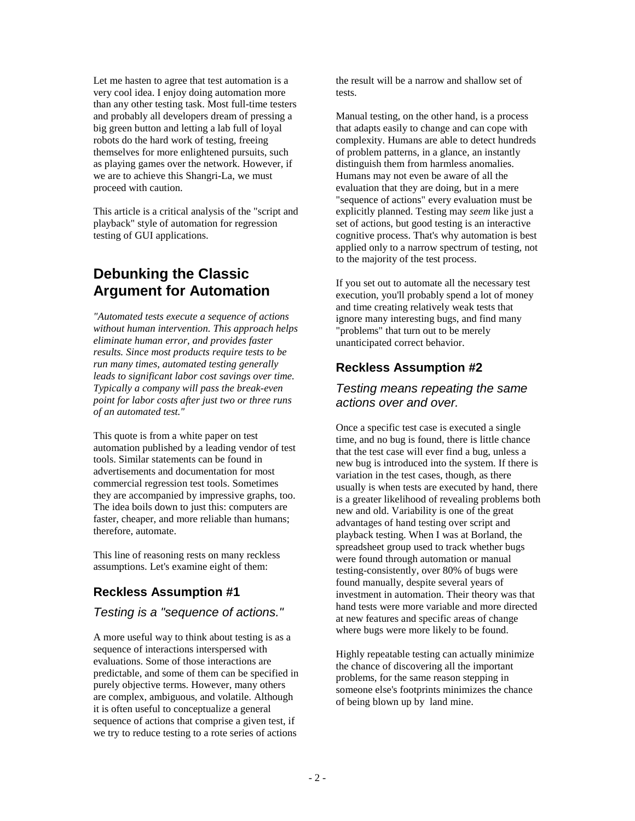Let me hasten to agree that test automation is a very cool idea. I enjoy doing automation more than any other testing task. Most full-time testers and probably all developers dream of pressing a big green button and letting a lab full of loyal robots do the hard work of testing, freeing themselves for more enlightened pursuits, such as playing games over the network. However, if we are to achieve this Shangri-La, we must proceed with caution.

This article is a critical analysis of the "script and playback" style of automation for regression testing of GUI applications.

# **Debunking the Classic Argument for Automation**

*"Automated tests execute a sequence of actions without human intervention. This approach helps eliminate human error, and provides faster results. Since most products require tests to be run many times, automated testing generally leads to significant labor cost savings over time. Typically a company will pass the break-even point for labor costs after just two or three runs of an automated test."*

This quote is from a white paper on test automation published by a leading vendor of test tools. Similar statements can be found in advertisements and documentation for most commercial regression test tools. Sometimes they are accompanied by impressive graphs, too. The idea boils down to just this: computers are faster, cheaper, and more reliable than humans; therefore, automate.

This line of reasoning rests on many reckless assumptions. Let's examine eight of them:

# **Reckless Assumption #1**

## *Testing is a "sequence of actions."*

A more useful way to think about testing is as a sequence of interactions interspersed with evaluations. Some of those interactions are predictable, and some of them can be specified in purely objective terms. However, many others are complex, ambiguous, and volatile. Although it is often useful to conceptualize a general sequence of actions that comprise a given test, if we try to reduce testing to a rote series of actions

the result will be a narrow and shallow set of tests.

Manual testing, on the other hand, is a process that adapts easily to change and can cope with complexity. Humans are able to detect hundreds of problem patterns, in a glance, an instantly distinguish them from harmless anomalies. Humans may not even be aware of all the evaluation that they are doing, but in a mere "sequence of actions" every evaluation must be explicitly planned. Testing may *seem* like just a set of actions, but good testing is an interactive cognitive process. That's why automation is best applied only to a narrow spectrum of testing, not to the majority of the test process.

If you set out to automate all the necessary test execution, you'll probably spend a lot of money and time creating relatively weak tests that ignore many interesting bugs, and find many "problems" that turn out to be merely unanticipated correct behavior.

# **Reckless Assumption #2**

## *Testing means repeating the same actions over and over.*

Once a specific test case is executed a single time, and no bug is found, there is little chance that the test case will ever find a bug, unless a new bug is introduced into the system. If there is variation in the test cases, though, as there usually is when tests are executed by hand, there is a greater likelihood of revealing problems both new and old. Variability is one of the great advantages of hand testing over script and playback testing. When I was at Borland, the spreadsheet group used to track whether bugs were found through automation or manual testing-consistently, over 80% of bugs were found manually, despite several years of investment in automation. Their theory was that hand tests were more variable and more directed at new features and specific areas of change where bugs were more likely to be found.

Highly repeatable testing can actually minimize the chance of discovering all the important problems, for the same reason stepping in someone else's footprints minimizes the chance of being blown up by land mine.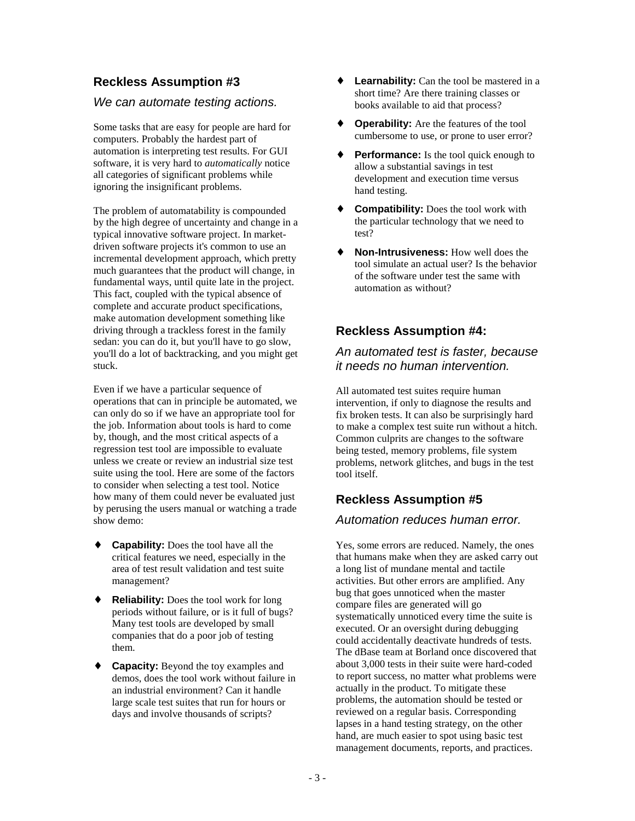# **Reckless Assumption #3**

## *We can automate testing actions.*

Some tasks that are easy for people are hard for computers. Probably the hardest part of automation is interpreting test results. For GUI software, it is very hard to *automatically* notice all categories of significant problems while ignoring the insignificant problems.

The problem of automatability is compounded by the high degree of uncertainty and change in a typical innovative software project. In marketdriven software projects it's common to use an incremental development approach, which pretty much guarantees that the product will change, in fundamental ways, until quite late in the project. This fact, coupled with the typical absence of complete and accurate product specifications, make automation development something like driving through a trackless forest in the family sedan: you can do it, but you'll have to go slow, you'll do a lot of backtracking, and you might get stuck.

Even if we have a particular sequence of operations that can in principle be automated, we can only do so if we have an appropriate tool for the job. Information about tools is hard to come by, though, and the most critical aspects of a regression test tool are impossible to evaluate unless we create or review an industrial size test suite using the tool. Here are some of the factors to consider when selecting a test tool. Notice how many of them could never be evaluated just by perusing the users manual or watching a trade show demo:

- ♦ **Capability:** Does the tool have all the critical features we need, especially in the area of test result validation and test suite management?
- **Reliability:** Does the tool work for long periods without failure, or is it full of bugs? Many test tools are developed by small companies that do a poor job of testing them.
- ♦ **Capacity:** Beyond the toy examples and demos, does the tool work without failure in an industrial environment? Can it handle large scale test suites that run for hours or days and involve thousands of scripts?
- ♦ **Learnability:** Can the tool be mastered in a short time? Are there training classes or books available to aid that process?
- ♦ **Operability:** Are the features of the tool cumbersome to use, or prone to user error?
- **Performance:** Is the tool quick enough to allow a substantial savings in test development and execution time versus hand testing.
- **Compatibility:** Does the tool work with the particular technology that we need to test?
- **Non-Intrusiveness:** How well does the tool simulate an actual user? Is the behavior of the software under test the same with automation as without?

# **Reckless Assumption #4:**

## *An automated test is faster, because it needs no human intervention.*

All automated test suites require human intervention, if only to diagnose the results and fix broken tests. It can also be surprisingly hard to make a complex test suite run without a hitch. Common culprits are changes to the software being tested, memory problems, file system problems, network glitches, and bugs in the test tool itself.

# **Reckless Assumption #5**

## *Automation reduces human error.*

Yes, some errors are reduced. Namely, the ones that humans make when they are asked carry out a long list of mundane mental and tactile activities. But other errors are amplified. Any bug that goes unnoticed when the master compare files are generated will go systematically unnoticed every time the suite is executed. Or an oversight during debugging could accidentally deactivate hundreds of tests. The dBase team at Borland once discovered that about 3,000 tests in their suite were hard-coded to report success, no matter what problems were actually in the product. To mitigate these problems, the automation should be tested or reviewed on a regular basis. Corresponding lapses in a hand testing strategy, on the other hand, are much easier to spot using basic test management documents, reports, and practices.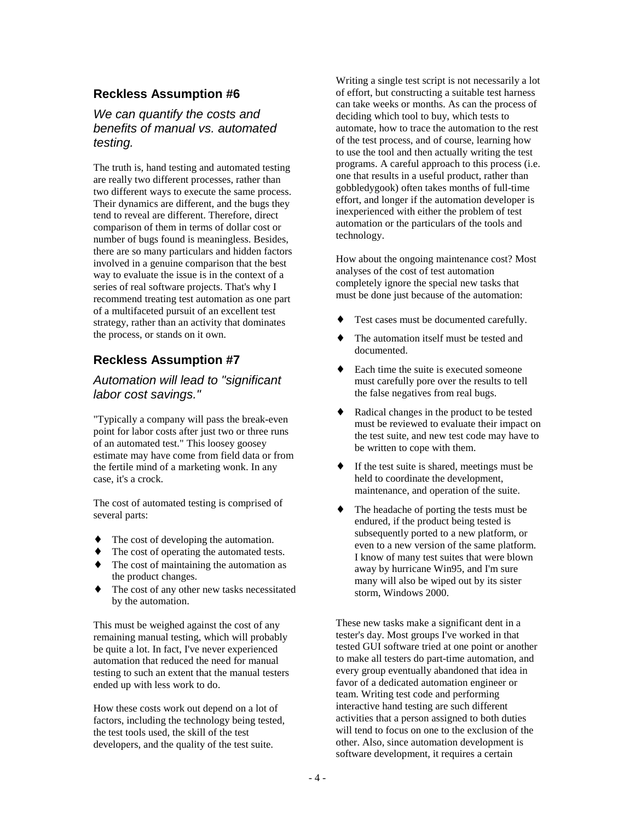# **Reckless Assumption #6**

# *We can quantify the costs and benefits of manual vs. automated testing.*

The truth is, hand testing and automated testing are really two different processes, rather than two different ways to execute the same process. Their dynamics are different, and the bugs they tend to reveal are different. Therefore, direct comparison of them in terms of dollar cost or number of bugs found is meaningless. Besides, there are so many particulars and hidden factors involved in a genuine comparison that the best way to evaluate the issue is in the context of a series of real software projects. That's why I recommend treating test automation as one part of a multifaceted pursuit of an excellent test strategy, rather than an activity that dominates the process, or stands on it own.

# **Reckless Assumption #7**

## *Automation will lead to "significant labor cost savings."*

"Typically a company will pass the break-even point for labor costs after just two or three runs of an automated test." This loosey goosey estimate may have come from field data or from the fertile mind of a marketing wonk. In any case, it's a crock.

The cost of automated testing is comprised of several parts:

- ♦ The cost of developing the automation.
- ♦ The cost of operating the automated tests.
- The cost of maintaining the automation as the product changes.
- The cost of any other new tasks necessitated by the automation.

This must be weighed against the cost of any remaining manual testing, which will probably be quite a lot. In fact, I've never experienced automation that reduced the need for manual testing to such an extent that the manual testers ended up with less work to do.

How these costs work out depend on a lot of factors, including the technology being tested, the test tools used, the skill of the test developers, and the quality of the test suite.

Writing a single test script is not necessarily a lot of effort, but constructing a suitable test harness can take weeks or months. As can the process of deciding which tool to buy, which tests to automate, how to trace the automation to the rest of the test process, and of course, learning how to use the tool and then actually writing the test programs. A careful approach to this process (i.e. one that results in a useful product, rather than gobbledygook) often takes months of full-time effort, and longer if the automation developer is inexperienced with either the problem of test automation or the particulars of the tools and technology.

How about the ongoing maintenance cost? Most analyses of the cost of test automation completely ignore the special new tasks that must be done just because of the automation:

- Test cases must be documented carefully.
- The automation itself must be tested and documented.
- ♦ Each time the suite is executed someone must carefully pore over the results to tell the false negatives from real bugs.
- ♦ Radical changes in the product to be tested must be reviewed to evaluate their impact on the test suite, and new test code may have to be written to cope with them.
- ♦ If the test suite is shared, meetings must be held to coordinate the development, maintenance, and operation of the suite.
- ♦ The headache of porting the tests must be endured, if the product being tested is subsequently ported to a new platform, or even to a new version of the same platform. I know of many test suites that were blown away by hurricane Win95, and I'm sure many will also be wiped out by its sister storm, Windows 2000.

These new tasks make a significant dent in a tester's day. Most groups I've worked in that tested GUI software tried at one point or another to make all testers do part-time automation, and every group eventually abandoned that idea in favor of a dedicated automation engineer or team. Writing test code and performing interactive hand testing are such different activities that a person assigned to both duties will tend to focus on one to the exclusion of the other. Also, since automation development is software development, it requires a certain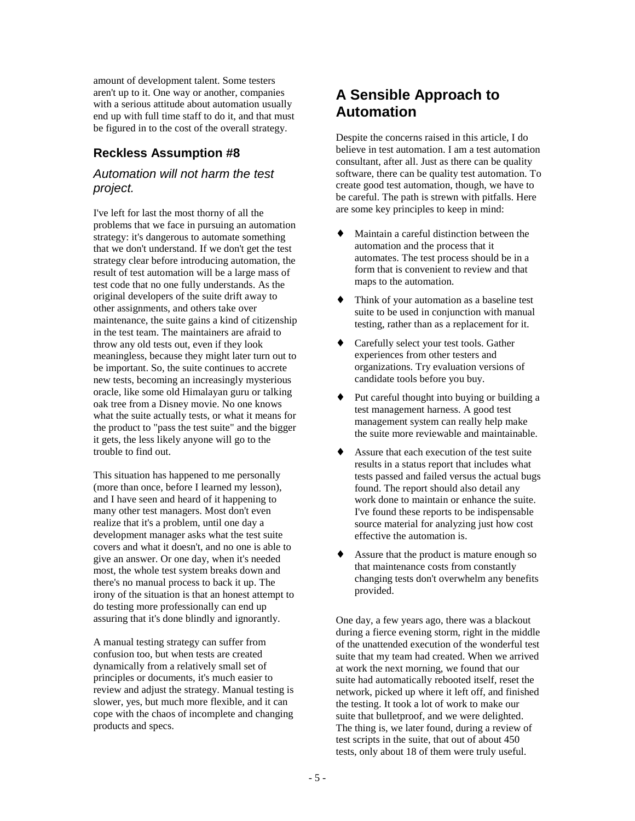amount of development talent. Some testers aren't up to it. One way or another, companies with a serious attitude about automation usually end up with full time staff to do it, and that must be figured in to the cost of the overall strategy.

# **Reckless Assumption #8**

# *Automation will not harm the test project.*

I've left for last the most thorny of all the problems that we face in pursuing an automation strategy: it's dangerous to automate something that we don't understand. If we don't get the test strategy clear before introducing automation, the result of test automation will be a large mass of test code that no one fully understands. As the original developers of the suite drift away to other assignments, and others take over maintenance, the suite gains a kind of citizenship in the test team. The maintainers are afraid to throw any old tests out, even if they look meaningless, because they might later turn out to be important. So, the suite continues to accrete new tests, becoming an increasingly mysterious oracle, like some old Himalayan guru or talking oak tree from a Disney movie. No one knows what the suite actually tests, or what it means for the product to "pass the test suite" and the bigger it gets, the less likely anyone will go to the trouble to find out.

This situation has happened to me personally (more than once, before I learned my lesson), and I have seen and heard of it happening to many other test managers. Most don't even realize that it's a problem, until one day a development manager asks what the test suite covers and what it doesn't, and no one is able to give an answer. Or one day, when it's needed most, the whole test system breaks down and there's no manual process to back it up. The irony of the situation is that an honest attempt to do testing more professionally can end up assuring that it's done blindly and ignorantly.

A manual testing strategy can suffer from confusion too, but when tests are created dynamically from a relatively small set of principles or documents, it's much easier to review and adjust the strategy. Manual testing is slower, yes, but much more flexible, and it can cope with the chaos of incomplete and changing products and specs.

# **A Sensible Approach to Automation**

Despite the concerns raised in this article, I do believe in test automation. I am a test automation consultant, after all. Just as there can be quality software, there can be quality test automation. To create good test automation, though, we have to be careful. The path is strewn with pitfalls. Here are some key principles to keep in mind:

- Maintain a careful distinction between the automation and the process that it automates. The test process should be in a form that is convenient to review and that maps to the automation.
- ♦ Think of your automation as a baseline test suite to be used in conjunction with manual testing, rather than as a replacement for it.
- ♦ Carefully select your test tools. Gather experiences from other testers and organizations. Try evaluation versions of candidate tools before you buy.
- ♦ Put careful thought into buying or building a test management harness. A good test management system can really help make the suite more reviewable and maintainable.
- ♦ Assure that each execution of the test suite results in a status report that includes what tests passed and failed versus the actual bugs found. The report should also detail any work done to maintain or enhance the suite. I've found these reports to be indispensable source material for analyzing just how cost effective the automation is.
- ♦ Assure that the product is mature enough so that maintenance costs from constantly changing tests don't overwhelm any benefits provided.

One day, a few years ago, there was a blackout during a fierce evening storm, right in the middle of the unattended execution of the wonderful test suite that my team had created. When we arrived at work the next morning, we found that our suite had automatically rebooted itself, reset the network, picked up where it left off, and finished the testing. It took a lot of work to make our suite that bulletproof, and we were delighted. The thing is, we later found, during a review of test scripts in the suite, that out of about 450 tests, only about 18 of them were truly useful.